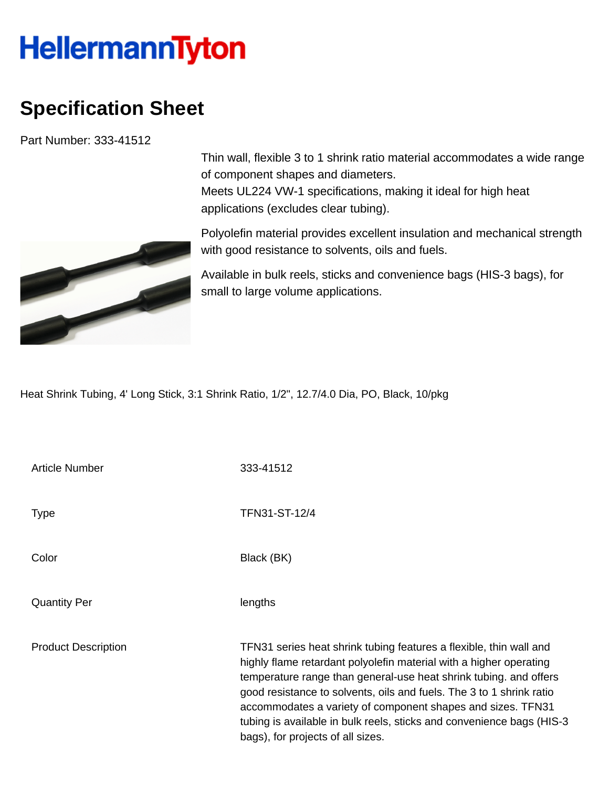## **HellermannTyton**

## **Specification Sheet**

Part Number: 333-41512



Thin wall, flexible 3 to 1 shrink ratio material accommodates a wide range of component shapes and diameters. Meets UL224 VW-1 specifications, making it ideal for high heat applications (excludes clear tubing).

Polyolefin material provides excellent insulation and mechanical strength with good resistance to solvents, oils and fuels.

Available in bulk reels, sticks and convenience bags (HIS-3 bags), for small to large volume applications.

Heat Shrink Tubing, 4' Long Stick, 3:1 Shrink Ratio, 1/2", 12.7/4.0 Dia, PO, Black, 10/pkg

| Article Number             | 333-41512                                                                                                                                                                                                                                                                                                                                                                                                                                                          |
|----------------------------|--------------------------------------------------------------------------------------------------------------------------------------------------------------------------------------------------------------------------------------------------------------------------------------------------------------------------------------------------------------------------------------------------------------------------------------------------------------------|
| Type                       | TFN31-ST-12/4                                                                                                                                                                                                                                                                                                                                                                                                                                                      |
| Color                      | Black (BK)                                                                                                                                                                                                                                                                                                                                                                                                                                                         |
| <b>Quantity Per</b>        | lengths                                                                                                                                                                                                                                                                                                                                                                                                                                                            |
| <b>Product Description</b> | TFN31 series heat shrink tubing features a flexible, thin wall and<br>highly flame retardant polyolefin material with a higher operating<br>temperature range than general-use heat shrink tubing. and offers<br>good resistance to solvents, oils and fuels. The 3 to 1 shrink ratio<br>accommodates a variety of component shapes and sizes. TFN31<br>tubing is available in bulk reels, sticks and convenience bags (HIS-3<br>bags), for projects of all sizes. |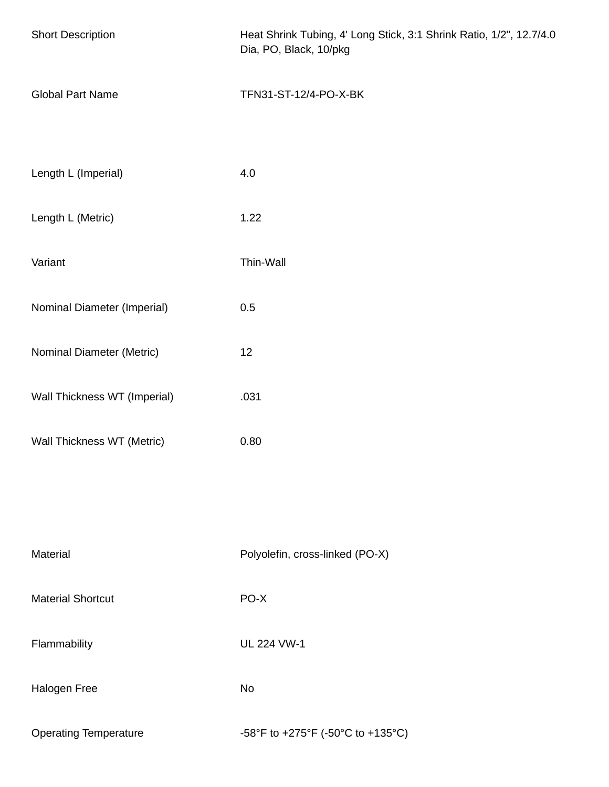| <b>Short Description</b>     | Heat Shrink Tubing, 4' Long Stick, 3:1 Shrink Ratio, 1/2", 12.7/4.0<br>Dia, PO, Black, 10/pkg |  |
|------------------------------|-----------------------------------------------------------------------------------------------|--|
| <b>Global Part Name</b>      | TFN31-ST-12/4-PO-X-BK                                                                         |  |
| Length L (Imperial)          | 4.0                                                                                           |  |
| Length L (Metric)            | 1.22                                                                                          |  |
| Variant                      | Thin-Wall                                                                                     |  |
| Nominal Diameter (Imperial)  | 0.5                                                                                           |  |
| Nominal Diameter (Metric)    | 12                                                                                            |  |
| Wall Thickness WT (Imperial) | .031                                                                                          |  |
| Wall Thickness WT (Metric)   | 0.80                                                                                          |  |
|                              |                                                                                               |  |
| Material                     | Polyolefin, cross-linked (PO-X)                                                               |  |
| <b>Material Shortcut</b>     | PO-X                                                                                          |  |
| Flammability                 | <b>UL 224 VW-1</b>                                                                            |  |
| Halogen Free                 | No                                                                                            |  |
| <b>Operating Temperature</b> | -58°F to +275°F (-50°C to +135°C)                                                             |  |